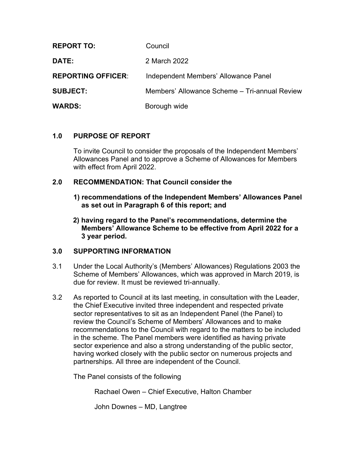| <b>REPORT TO:</b>         | Council                                       |
|---------------------------|-----------------------------------------------|
| <b>DATE:</b>              | 2 March 2022                                  |
| <b>REPORTING OFFICER:</b> | Independent Members' Allowance Panel          |
| <b>SUBJECT:</b>           | Members' Allowance Scheme - Tri-annual Review |
| <b>WARDS:</b>             | Borough wide                                  |

# **1.0 PURPOSE OF REPORT**

To invite Council to consider the proposals of the Independent Members' Allowances Panel and to approve a Scheme of Allowances for Members with effect from April 2022.

## **2.0 RECOMMENDATION: That Council consider the**

- **1) recommendations of the Independent Members' Allowances Panel as set out in Paragraph 6 of this report; and**
- **2) having regard to the Panel's recommendations, determine the Members' Allowance Scheme to be effective from April 2022 for a 3 year period.**

## **3.0 SUPPORTING INFORMATION**

- 3.1 Under the Local Authority's (Members' Allowances) Regulations 2003 the Scheme of Members' Allowances, which was approved in March 2019, is due for review. It must be reviewed tri-annually.
- 3.2 As reported to Council at its last meeting, in consultation with the Leader, the Chief Executive invited three independent and respected private sector representatives to sit as an Independent Panel (the Panel) to review the Council's Scheme of Members' Allowances and to make recommendations to the Council with regard to the matters to be included in the scheme. The Panel members were identified as having private sector experience and also a strong understanding of the public sector, having worked closely with the public sector on numerous projects and partnerships. All three are independent of the Council.

The Panel consists of the following

Rachael Owen – Chief Executive, Halton Chamber

John Downes – MD, Langtree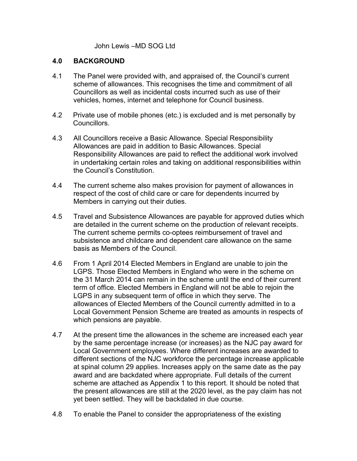John Lewis –MD SOG Ltd

## **4.0 BACKGROUND**

- 4.1 The Panel were provided with, and appraised of, the Council's current scheme of allowances. This recognises the time and commitment of all Councillors as well as incidental costs incurred such as use of their vehicles, homes, internet and telephone for Council business.
- 4.2 Private use of mobile phones (etc.) is excluded and is met personally by Councillors.
- 4.3 All Councillors receive a Basic Allowance. Special Responsibility Allowances are paid in addition to Basic Allowances. Special Responsibility Allowances are paid to reflect the additional work involved in undertaking certain roles and taking on additional responsibilities within the Council's Constitution.
- 4.4 The current scheme also makes provision for payment of allowances in respect of the cost of child care or care for dependents incurred by Members in carrying out their duties.
- 4.5 Travel and Subsistence Allowances are payable for approved duties which are detailed in the current scheme on the production of relevant receipts. The current scheme permits co-optees reimbursement of travel and subsistence and childcare and dependent care allowance on the same basis as Members of the Council.
- 4.6 From 1 April 2014 Elected Members in England are unable to join the LGPS. Those Elected Members in England who were in the scheme on the 31 March 2014 can remain in the scheme until the end of their current term of office. Elected Members in England will not be able to rejoin the LGPS in any subsequent term of office in which they serve. The allowances of Elected Members of the Council currently admitted in to a Local Government Pension Scheme are treated as amounts in respects of which pensions are payable.
- 4.7 At the present time the allowances in the scheme are increased each year by the same percentage increase (or increases) as the NJC pay award for Local Government employees. Where different increases are awarded to different sections of the NJC workforce the percentage increase applicable at spinal column 29 applies. Increases apply on the same date as the pay award and are backdated where appropriate. Full details of the current scheme are attached as Appendix 1 to this report. It should be noted that the present allowances are still at the 2020 level, as the pay claim has not yet been settled. They will be backdated in due course.
- 4.8 To enable the Panel to consider the appropriateness of the existing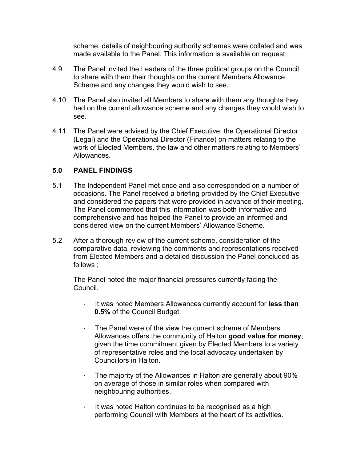scheme, details of neighbouring authority schemes were collated and was made available to the Panel. This information is available on request.

- 4.9 The Panel invited the Leaders of the three political groups on the Council to share with them their thoughts on the current Members Allowance Scheme and any changes they would wish to see.
- 4.10 The Panel also invited all Members to share with them any thoughts they had on the current allowance scheme and any changes they would wish to see.
- 4.11 The Panel were advised by the Chief Executive, the Operational Director (Legal) and the Operational Director (Finance) on matters relating to the work of Elected Members, the law and other matters relating to Members' Allowances.

# **5.0 PANEL FINDINGS**

- 5.1 The Independent Panel met once and also corresponded on a number of occasions. The Panel received a briefing provided by the Chief Executive and considered the papers that were provided in advance of their meeting. The Panel commented that this information was both informative and comprehensive and has helped the Panel to provide an informed and considered view on the current Members' Allowance Scheme.
- 5.2 After a thorough review of the current scheme, consideration of the comparative data, reviewing the comments and representations received from Elected Members and a detailed discussion the Panel concluded as follows ;

The Panel noted the major financial pressures currently facing the Council.

- · It was noted Members Allowances currently account for **less than 0.5%** of the Council Budget.
- · The Panel were of the view the current scheme of Members Allowances offers the community of Halton **good value for money**, given the time commitment given by Elected Members to a variety of representative roles and the local advocacy undertaken by Councillors in Halton.
- · The majority of the Allowances in Halton are generally about 90% on average of those in similar roles when compared with neighbouring authorities.
- · It was noted Halton continues to be recognised as a high performing Council with Members at the heart of its activities.